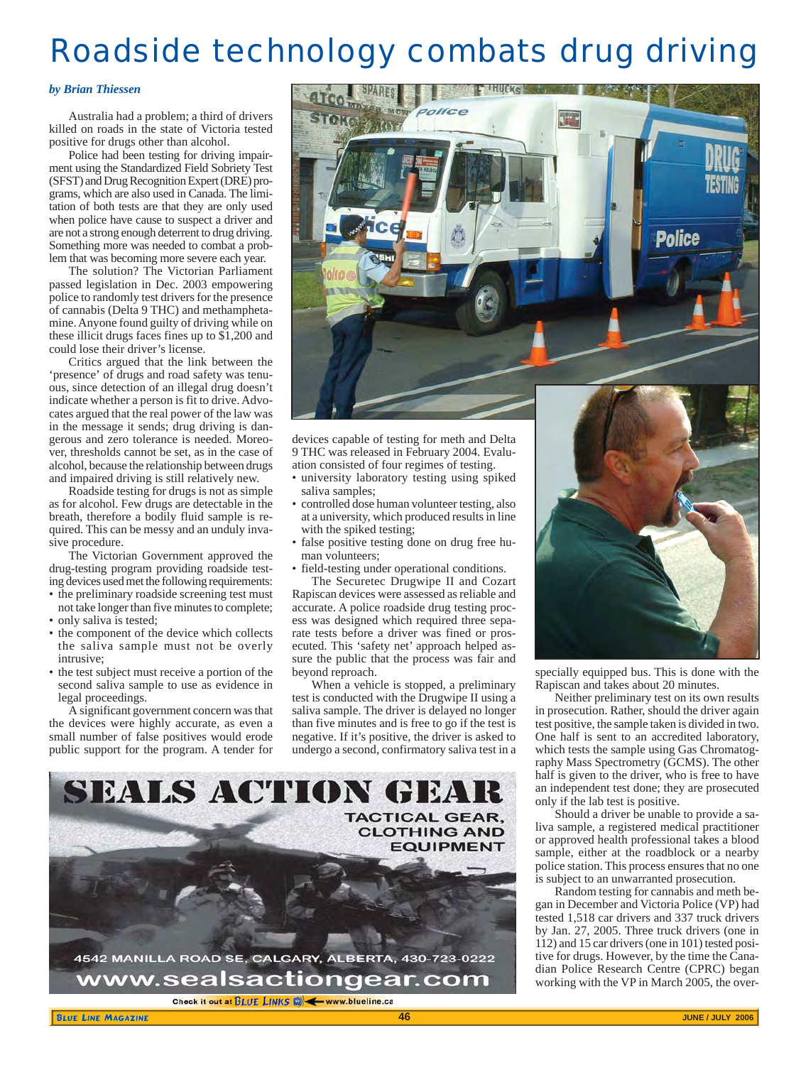# Roadside technology combats drug driving

### *by Brian Thiessen*

Australia had a problem; a third of drivers killed on roads in the state of Victoria tested positive for drugs other than alcohol.

Police had been testing for driving impairment using the Standardized Field Sobriety Test (SFST) and Drug Recognition Expert (DRE) programs, which are also used in Canada. The limitation of both tests are that they are only used when police have cause to suspect a driver and are not a strong enough deterrent to drug driving. Something more was needed to combat a problem that was becoming more severe each year.

The solution? The Victorian Parliament passed legislation in Dec. 2003 empowering police to randomly test drivers for the presence of cannabis (Delta 9 THC) and methamphetamine. Anyone found guilty of driving while on these illicit drugs faces fines up to \$1,200 and could lose their driver's license.

Critics argued that the link between the 'presence' of drugs and road safety was tenuous, since detection of an illegal drug doesn't indicate whether a person is fit to drive. Advocates argued that the real power of the law was in the message it sends; drug driving is dangerous and zero tolerance is needed. Moreover, thresholds cannot be set, as in the case of alcohol, because the relationship between drugs and impaired driving is still relatively new.

Roadside testing for drugs is not as simple as for alcohol. Few drugs are detectable in the breath, therefore a bodily fluid sample is required. This can be messy and an unduly invasive procedure.

The Victorian Government approved the drug-testing program providing roadside testing devices used met the following requirements:

- the preliminary roadside screening test must not take longer than five minutes to complete;
- only saliva is tested;
- the component of the device which collects the saliva sample must not be overly intrusive;
- the test subject must receive a portion of the second saliva sample to use as evidence in legal proceedings.

A significant government concern was that the devices were highly accurate, as even a small number of false positives would erode public support for the program. A tender for



devices capable of testing for meth and Delta 9 THC was released in February 2004. Evaluation consisted of four regimes of testing.

- university laboratory testing using spiked saliva samples;
- controlled dose human volunteer testing, also at a university, which produced results in line with the spiked testing;
- false positive testing done on drug free human volunteers;
- field-testing under operational conditions.

The Securetec Drugwipe II and Cozart Rapiscan devices were assessed as reliable and accurate. A police roadside drug testing process was designed which required three separate tests before a driver was fined or prosecuted. This 'safety net' approach helped assure the public that the process was fair and beyond reproach.

When a vehicle is stopped, a preliminary test is conducted with the Drugwipe II using a saliva sample. The driver is delayed no longer than five minutes and is free to go if the test is negative. If it's positive, the driver is asked to undergo a second, confirmatory saliva test in a



specially equipped bus. This is done with the Rapiscan and takes about 20 minutes.

Neither preliminary test on its own results in prosecution. Rather, should the driver again test positive, the sample taken is divided in two. One half is sent to an accredited laboratory, which tests the sample using Gas Chromatography Mass Spectrometry (GCMS). The other half is given to the driver, who is free to have an independent test done; they are prosecuted only if the lab test is positive.

Should a driver be unable to provide a saliva sample, a registered medical practitioner or approved health professional takes a blood sample, either at the roadblock or a nearby police station. This process ensures that no one is subject to an unwarranted prosecution.

Random testing for cannabis and meth began in December and Victoria Police (VP) had tested 1,518 car drivers and 337 truck drivers by Jan. 27, 2005. Three truck drivers (one in 112) and 15 car drivers (one in 101) tested positive for drugs. However, by the time the Canadian Police Research Centre (CPRC) began working with the VP in March 2005, the over